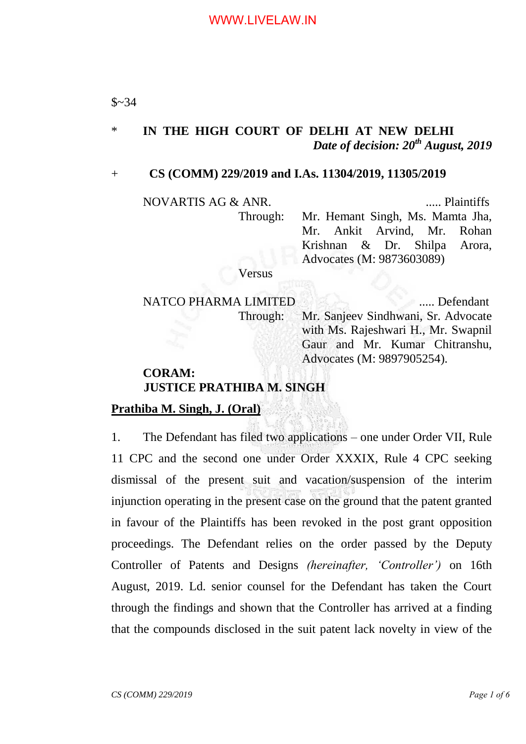## \* **IN THE HIGH COURT OF DELHI AT NEW DELHI** *Date of decision: 20th August, 2019*

#### + **CS (COMM) 229/2019 and I.As. 11304/2019, 11305/2019**

NOVARTIS AG & ANR. ..... Plaintiffs

Through: Mr. Hemant Singh, Ms. Mamta Jha, Mr. Ankit Arvind, Mr. Rohan Krishnan & Dr. Shilpa Arora, Advocates (M: 9873603089)

Versus

NATCO PHARMA LIMITED ..... Defendant Through: Mr. Sanjeev Sindhwani, Sr. Advocate with Ms. Rajeshwari H., Mr. Swapnil Gaur and Mr. Kumar Chitranshu, Advocates (M: 9897905254).

## **CORAM: JUSTICE PRATHIBA M. SINGH**

#### **Prathiba M. Singh, J. (Oral)**

1. The Defendant has filed two applications – one under Order VII, Rule 11 CPC and the second one under Order XXXIX, Rule 4 CPC seeking dismissal of the present suit and vacation/suspension of the interim injunction operating in the present case on the ground that the patent granted in favour of the Plaintiffs has been revoked in the post grant opposition proceedings. The Defendant relies on the order passed by the Deputy Controller of Patents and Designs *(hereinafter, "Controller")* on 16th August, 2019. Ld. senior counsel for the Defendant has taken the Court through the findings and shown that the Controller has arrived at a finding that the compounds disclosed in the suit patent lack novelty in view of the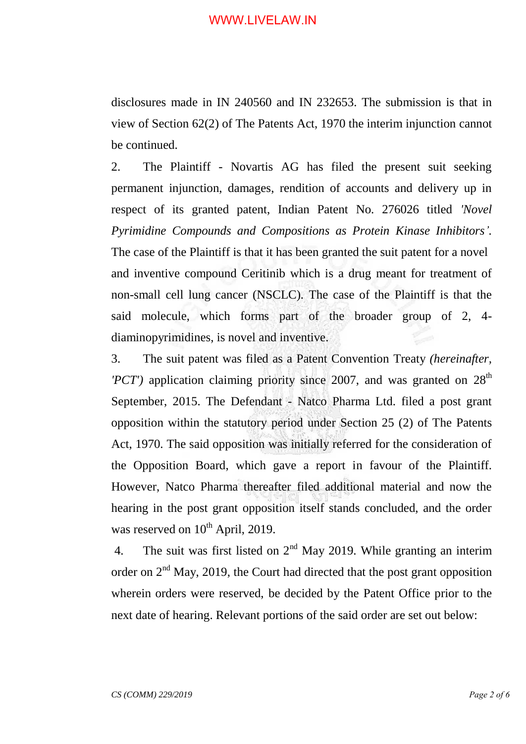disclosures made in IN 240560 and IN 232653. The submission is that in view of Section 62(2) of The Patents Act, 1970 the interim injunction cannot be continued.

2. The Plaintiff - Novartis AG has filed the present suit seeking permanent injunction, damages, rendition of accounts and delivery up in respect of its granted patent, Indian Patent No. 276026 titled *'Novel Pyrimidine Compounds and Compositions as Protein Kinase Inhibitors".* The case of the Plaintiff is that it has been granted the suit patent for a novel and inventive compound Ceritinib which is a drug meant for treatment of non-small cell lung cancer (NSCLC). The case of the Plaintiff is that the said molecule, which forms part of the broader group of 2, 4 diaminopyrimidines, is novel and inventive.

3. The suit patent was filed as a Patent Convention Treaty *(hereinafter, 'PCT'*) application claiming priority since 2007, and was granted on  $28<sup>th</sup>$ September, 2015. The Defendant - Natco Pharma Ltd. filed a post grant opposition within the statutory period under Section 25 (2) of The Patents Act, 1970. The said opposition was initially referred for the consideration of the Opposition Board, which gave a report in favour of the Plaintiff. However, Natco Pharma thereafter filed additional material and now the hearing in the post grant opposition itself stands concluded, and the order was reserved on  $10^{th}$  April, 2019.

4. The suit was first listed on  $2<sup>nd</sup>$  May 2019. While granting an interim order on  $2<sup>nd</sup>$  May, 2019, the Court had directed that the post grant opposition wherein orders were reserved, be decided by the Patent Office prior to the next date of hearing. Relevant portions of the said order are set out below: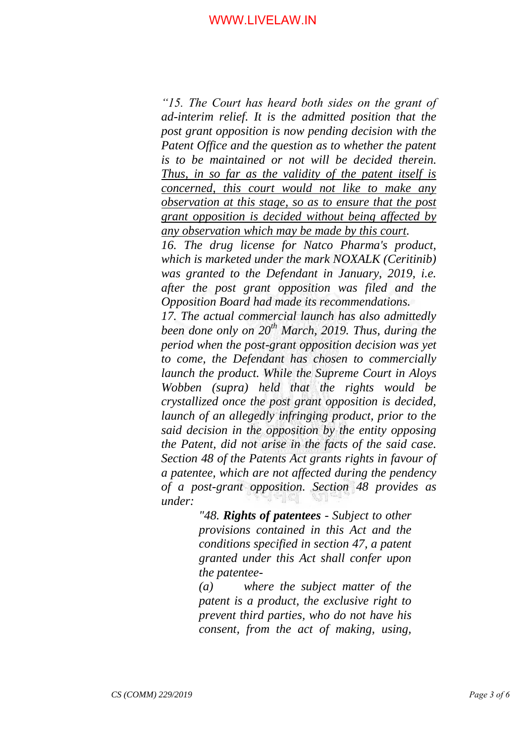*"15. The Court has heard both sides on the grant of ad-interim relief. It is the admitted position that the post grant opposition is now pending decision with the Patent Office and the question as to whether the patent is to be maintained or not will be decided therein. Thus, in so far as the validity of the patent itself is concerned, this court would not like to make any observation at this stage, so as to ensure that the post grant opposition is decided without being affected by any observation which may be made by this court.*

*16. The drug license for Natco Pharma's product, which is marketed under the mark NOXALK (Ceritinib)*  was granted to the Defendant in January, 2019, *i.e. after the post grant opposition was filed and the Opposition Board had made its recommendations.*

*17. The actual commercial launch has also admittedly been done only on 20th March, 2019. Thus, during the period when the post-grant opposition decision was yet to come, the Defendant has chosen to commercially launch the product. While the Supreme Court in Aloys Wobben (supra) held that the rights would be crystallized once the post grant opposition is decided, launch of an allegedly infringing product, prior to the said decision in the opposition by the entity opposing the Patent, did not arise in the facts of the said case. Section 48 of the Patents Act grants rights in favour of a patentee, which are not affected during the pendency of a post-grant opposition. Section 48 provides as under:*

> *"48. Rights of patentees - Subject to other provisions contained in this Act and the conditions specified in section 47, a patent granted under this Act shall confer upon the patentee-*

> *(a) where the subject matter of the patent is a product, the exclusive right to prevent third parties, who do not have his consent, from the act of making, using,*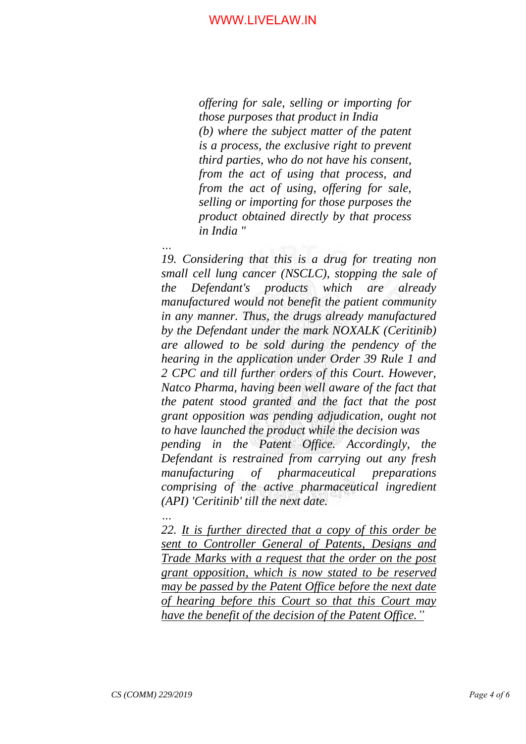*offering for sale, selling or importing for those purposes that product in India (b) where the subject matter of the patent is a process, the exclusive right to prevent third parties, who do not have his consent, from the act of using that process, and from the act of using, offering for sale, selling or importing for those purposes the product obtained directly by that process in India "*

*… 19. Considering that this is a drug for treating non small cell lung cancer (NSCLC), stopping the sale of the Defendant's products which are already manufactured would not benefit the patient community in any manner. Thus, the drugs already manufactured by the Defendant under the mark NOXALK (Ceritinib) are allowed to be sold during the pendency of the hearing in the application under Order 39 Rule 1 and 2 CPC and till further orders of this Court. However, Natco Pharma, having been well aware of the fact that the patent stood granted and the fact that the post grant opposition was pending adjudication, ought not to have launched the product while the decision was pending in the Patent Office. Accordingly, the Defendant is restrained from carrying out any fresh manufacturing of pharmaceutical preparations comprising of the active pharmaceutical ingredient (API) 'Ceritinib' till the next date.*

*22. It is further directed that a copy of this order be sent to Controller General of Patents, Designs and Trade Marks with a request that the order on the post grant opposition, which is now stated to be reserved may be passed by the Patent Office before the next date of hearing before this Court so that this Court may have the benefit of the decision of the Patent Office."*

*…*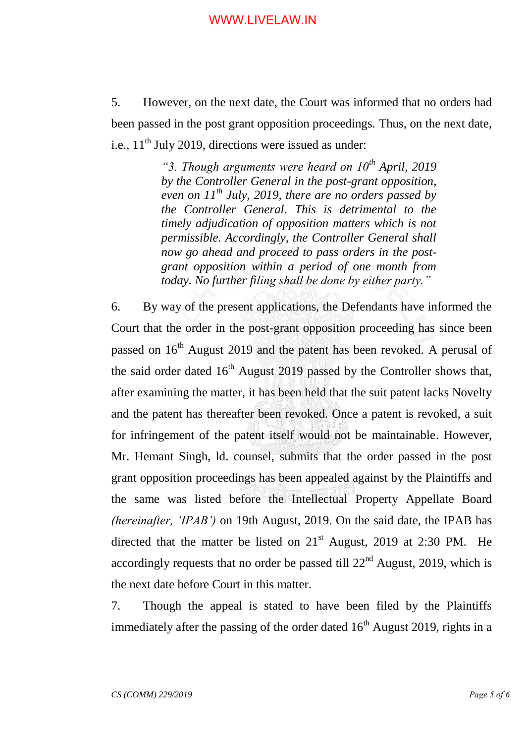5. However, on the next date, the Court was informed that no orders had been passed in the post grant opposition proceedings. Thus, on the next date, i.e.,  $11<sup>th</sup>$  July 2019, directions were issued as under:

> *"3. Though arguments were heard on 10th April, 2019 by the Controller General in the post-grant opposition, even on 11th July, 2019, there are no orders passed by the Controller General. This is detrimental to the timely adjudication of opposition matters which is not permissible. Accordingly, the Controller General shall now go ahead and proceed to pass orders in the postgrant opposition within a period of one month from today. No further filing shall be done by either party."*

6. By way of the present applications, the Defendants have informed the Court that the order in the post-grant opposition proceeding has since been passed on 16<sup>th</sup> August 2019 and the patent has been revoked. A perusal of the said order dated  $16<sup>th</sup>$  August 2019 passed by the Controller shows that, after examining the matter, it has been held that the suit patent lacks Novelty and the patent has thereafter been revoked. Once a patent is revoked, a suit for infringement of the patent itself would not be maintainable. However, Mr. Hemant Singh, ld. counsel, submits that the order passed in the post grant opposition proceedings has been appealed against by the Plaintiffs and the same was listed before the Intellectual Property Appellate Board *(hereinafter, "IPAB")* on 19th August, 2019. On the said date, the IPAB has directed that the matter be listed on  $21<sup>st</sup>$  August, 2019 at 2:30 PM. He accordingly requests that no order be passed till  $22<sup>nd</sup>$  August, 2019, which is the next date before Court in this matter.

7. Though the appeal is stated to have been filed by the Plaintiffs immediately after the passing of the order dated  $16<sup>th</sup>$  August 2019, rights in a